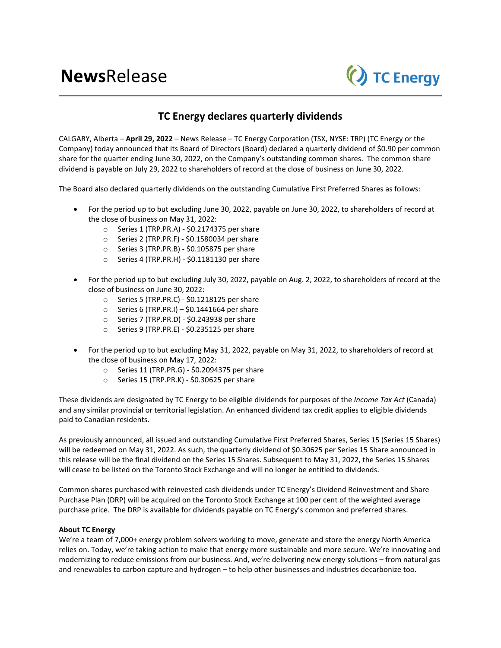

## **TC Energy declares quarterly dividends**

CALGARY, Alberta – **April 29, 2022** – News Release – TC Energy Corporation (TSX, NYSE: TRP) (TC Energy or the Company) today announced that its Board of Directors (Board) declared a quarterly dividend of \$0.90 per common share for the quarter ending June 30, 2022, on the Company's outstanding common shares. The common share dividend is payable on July 29, 2022 to shareholders of record at the close of business on June 30, 2022.

The Board also declared quarterly dividends on the outstanding Cumulative First Preferred Shares as follows:

- For the period up to but excluding June 30, 2022, payable on June 30, 2022, to shareholders of record at the close of business on May 31, 2022:
	- o Series 1 (TRP.PR.A) \$0.2174375 per share
	- o Series 2 (TRP.PR.F) \$0.1580034 per share
	- o Series 3 (TRP.PR.B) \$0.105875 per share
	- o Series 4 (TRP.PR.H) \$0.1181130 per share
- For the period up to but excluding July 30, 2022, payable on Aug. 2, 2022, to shareholders of record at the close of business on June 30, 2022:
	- o Series 5 (TRP.PR.C) \$0.1218125 per share
	- $\circ$  Series 6 (TRP.PR.I) \$0.1441664 per share
	- $\circ$  Series 7 (TRP.PR.D) \$0.243938 per share
	- o Series 9 (TRP.PR.E) \$0.235125 per share
- For the period up to but excluding May 31, 2022, payable on May 31, 2022, to shareholders of record at the close of business on May 17, 2022:
	- o Series 11 (TRP.PR.G) \$0.2094375 per share
	- o Series 15 (TRP.PR.K) \$0.30625 per share

These dividends are designated by TC Energy to be eligible dividends for purposes of the *Income Tax Act* (Canada) and any similar provincial or territorial legislation. An enhanced dividend tax credit applies to eligible dividends paid to Canadian residents.

As previously announced, all issued and outstanding Cumulative First Preferred Shares, Series 15 (Series 15 Shares) will be redeemed on May 31, 2022. As such, the quarterly dividend of \$0.30625 per Series 15 Share announced in this release will be the final dividend on the Series 15 Shares. Subsequent to May 31, 2022, the Series 15 Shares will cease to be listed on the Toronto Stock Exchange and will no longer be entitled to dividends.

Common shares purchased with reinvested cash dividends under TC Energy's Dividend Reinvestment and Share Purchase Plan (DRP) will be acquired on the Toronto Stock Exchange at 100 per cent of the weighted average purchase price. The DRP is available for dividends payable on TC Energy's common and preferred shares.

## **About TC Energy**

We're a team of 7,000+ energy problem solvers working to move, generate and store the energy North America relies on. Today, we're taking action to make that energy more sustainable and more secure. We're innovating and modernizing to reduce emissions from our business. And, we're delivering new energy solutions – from natural gas and renewables to carbon capture and hydrogen – to help other businesses and industries decarbonize too.